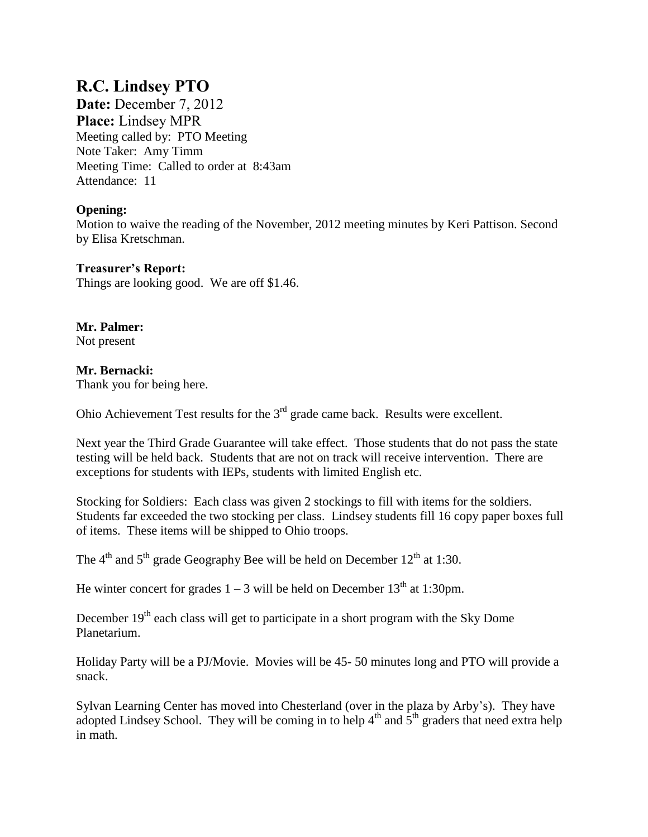# **R.C. Lindsey PTO**

**Date:** December 7, 2012 **Place:** Lindsey MPR Meeting called by: PTO Meeting Note Taker: Amy Timm Meeting Time: Called to order at 8:43am Attendance: 11

## **Opening:**

Motion to waive the reading of the November, 2012 meeting minutes by Keri Pattison. Second by Elisa Kretschman.

#### **Treasurer's Report:** Things are looking good. We are off \$1.46.

**Mr. Palmer:**  Not present

## **Mr. Bernacki:**

Thank you for being here.

Ohio Achievement Test results for the  $3<sup>rd</sup>$  grade came back. Results were excellent.

Next year the Third Grade Guarantee will take effect. Those students that do not pass the state testing will be held back. Students that are not on track will receive intervention. There are exceptions for students with IEPs, students with limited English etc.

Stocking for Soldiers: Each class was given 2 stockings to fill with items for the soldiers. Students far exceeded the two stocking per class. Lindsey students fill 16 copy paper boxes full of items. These items will be shipped to Ohio troops.

The  $4<sup>th</sup>$  and  $5<sup>th</sup>$  grade Geography Bee will be held on December 12<sup>th</sup> at 1:30.

He winter concert for grades  $1 - 3$  will be held on December 13<sup>th</sup> at 1:30pm.

December  $19<sup>th</sup>$  each class will get to participate in a short program with the Sky Dome Planetarium.

Holiday Party will be a PJ/Movie. Movies will be 45- 50 minutes long and PTO will provide a snack.

Sylvan Learning Center has moved into Chesterland (over in the plaza by Arby's). They have adopted Lindsey School. They will be coming in to help  $4<sup>th</sup>$  and  $5<sup>th</sup>$  graders that need extra help in math.